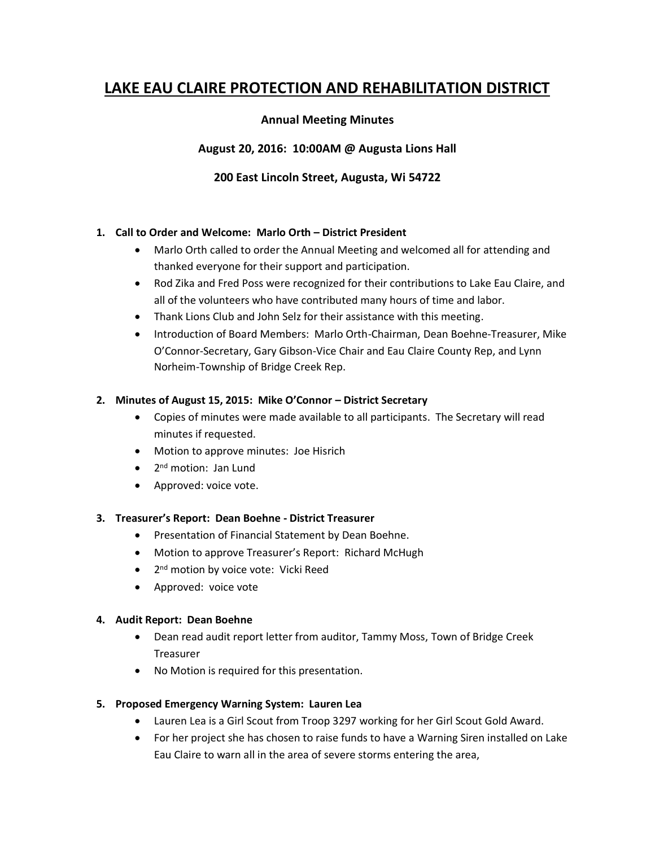# **LAKE EAU CLAIRE PROTECTION AND REHABILITATION DISTRICT**

## **Annual Meeting Minutes**

**August 20, 2016: 10:00AM @ Augusta Lions Hall**

## **200 East Lincoln Street, Augusta, Wi 54722**

## **1. Call to Order and Welcome: Marlo Orth – District President**

- Marlo Orth called to order the Annual Meeting and welcomed all for attending and thanked everyone for their support and participation.
- Rod Zika and Fred Poss were recognized for their contributions to Lake Eau Claire, and all of the volunteers who have contributed many hours of time and labor.
- Thank Lions Club and John Selz for their assistance with this meeting.
- Introduction of Board Members: Marlo Orth-Chairman, Dean Boehne-Treasurer, Mike O'Connor-Secretary, Gary Gibson-Vice Chair and Eau Claire County Rep, and Lynn Norheim-Township of Bridge Creek Rep.

#### **2. Minutes of August 15, 2015: Mike O'Connor – District Secretary**

- Copies of minutes were made available to all participants. The Secretary will read minutes if requested.
- Motion to approve minutes: Joe Hisrich
- 2<sup>nd</sup> motion: Jan Lund
- Approved: voice vote.

#### **3. Treasurer's Report: Dean Boehne - District Treasurer**

- Presentation of Financial Statement by Dean Boehne.
- Motion to approve Treasurer's Report: Richard McHugh
- 2<sup>nd</sup> motion by voice vote: Vicki Reed
- Approved: voice vote

#### **4. Audit Report: Dean Boehne**

- Dean read audit report letter from auditor, Tammy Moss, Town of Bridge Creek Treasurer
- No Motion is required for this presentation.

#### **5. Proposed Emergency Warning System: Lauren Lea**

- Lauren Lea is a Girl Scout from Troop 3297 working for her Girl Scout Gold Award.
- For her project she has chosen to raise funds to have a Warning Siren installed on Lake Eau Claire to warn all in the area of severe storms entering the area,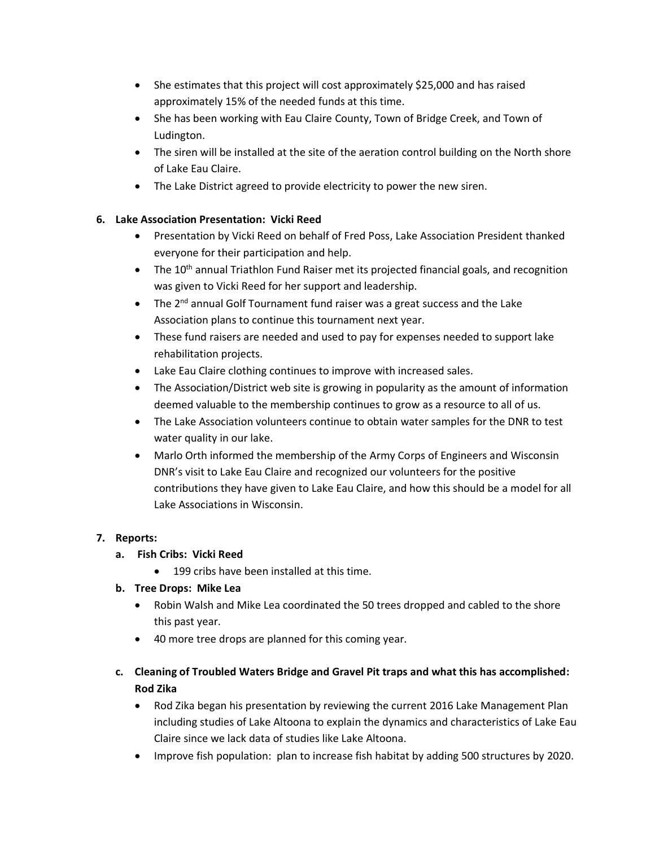- She estimates that this project will cost approximately \$25,000 and has raised approximately 15% of the needed funds at this time.
- She has been working with Eau Claire County, Town of Bridge Creek, and Town of Ludington.
- The siren will be installed at the site of the aeration control building on the North shore of Lake Eau Claire.
- The Lake District agreed to provide electricity to power the new siren.

# **6. Lake Association Presentation: Vicki Reed**

- Presentation by Vicki Reed on behalf of Fred Poss, Lake Association President thanked everyone for their participation and help.
- The 10<sup>th</sup> annual Triathlon Fund Raiser met its projected financial goals, and recognition was given to Vicki Reed for her support and leadership.
- The  $2^{nd}$  annual Golf Tournament fund raiser was a great success and the Lake Association plans to continue this tournament next year.
- These fund raisers are needed and used to pay for expenses needed to support lake rehabilitation projects.
- Lake Eau Claire clothing continues to improve with increased sales.
- The Association/District web site is growing in popularity as the amount of information deemed valuable to the membership continues to grow as a resource to all of us.
- The Lake Association volunteers continue to obtain water samples for the DNR to test water quality in our lake.
- Marlo Orth informed the membership of the Army Corps of Engineers and Wisconsin DNR's visit to Lake Eau Claire and recognized our volunteers for the positive contributions they have given to Lake Eau Claire, and how this should be a model for all Lake Associations in Wisconsin.

# **7. Reports:**

# **a. Fish Cribs: Vicki Reed**

• 199 cribs have been installed at this time.

# **b. Tree Drops: Mike Lea**

- Robin Walsh and Mike Lea coordinated the 50 trees dropped and cabled to the shore this past year.
- 40 more tree drops are planned for this coming year.
- **c. Cleaning of Troubled Waters Bridge and Gravel Pit traps and what this has accomplished: Rod Zika**
	- Rod Zika began his presentation by reviewing the current 2016 Lake Management Plan including studies of Lake Altoona to explain the dynamics and characteristics of Lake Eau Claire since we lack data of studies like Lake Altoona.
	- Improve fish population: plan to increase fish habitat by adding 500 structures by 2020.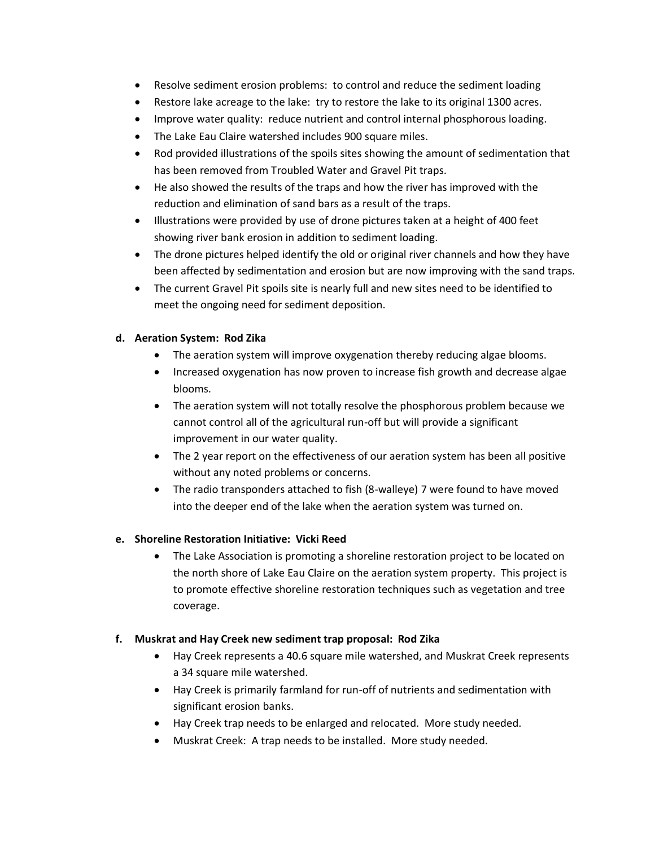- Resolve sediment erosion problems: to control and reduce the sediment loading
- Restore lake acreage to the lake: try to restore the lake to its original 1300 acres.
- Improve water quality: reduce nutrient and control internal phosphorous loading.
- The Lake Eau Claire watershed includes 900 square miles.
- Rod provided illustrations of the spoils sites showing the amount of sedimentation that has been removed from Troubled Water and Gravel Pit traps.
- He also showed the results of the traps and how the river has improved with the reduction and elimination of sand bars as a result of the traps.
- Illustrations were provided by use of drone pictures taken at a height of 400 feet showing river bank erosion in addition to sediment loading.
- The drone pictures helped identify the old or original river channels and how they have been affected by sedimentation and erosion but are now improving with the sand traps.
- The current Gravel Pit spoils site is nearly full and new sites need to be identified to meet the ongoing need for sediment deposition.

## **d. Aeration System: Rod Zika**

- The aeration system will improve oxygenation thereby reducing algae blooms.
- Increased oxygenation has now proven to increase fish growth and decrease algae blooms.
- The aeration system will not totally resolve the phosphorous problem because we cannot control all of the agricultural run-off but will provide a significant improvement in our water quality.
- The 2 year report on the effectiveness of our aeration system has been all positive without any noted problems or concerns.
- The radio transponders attached to fish (8-walleye) 7 were found to have moved into the deeper end of the lake when the aeration system was turned on.

## **e. Shoreline Restoration Initiative: Vicki Reed**

• The Lake Association is promoting a shoreline restoration project to be located on the north shore of Lake Eau Claire on the aeration system property. This project is to promote effective shoreline restoration techniques such as vegetation and tree coverage.

## **f. Muskrat and Hay Creek new sediment trap proposal: Rod Zika**

- Hay Creek represents a 40.6 square mile watershed, and Muskrat Creek represents a 34 square mile watershed.
- Hay Creek is primarily farmland for run-off of nutrients and sedimentation with significant erosion banks.
- Hay Creek trap needs to be enlarged and relocated. More study needed.
- Muskrat Creek: A trap needs to be installed. More study needed.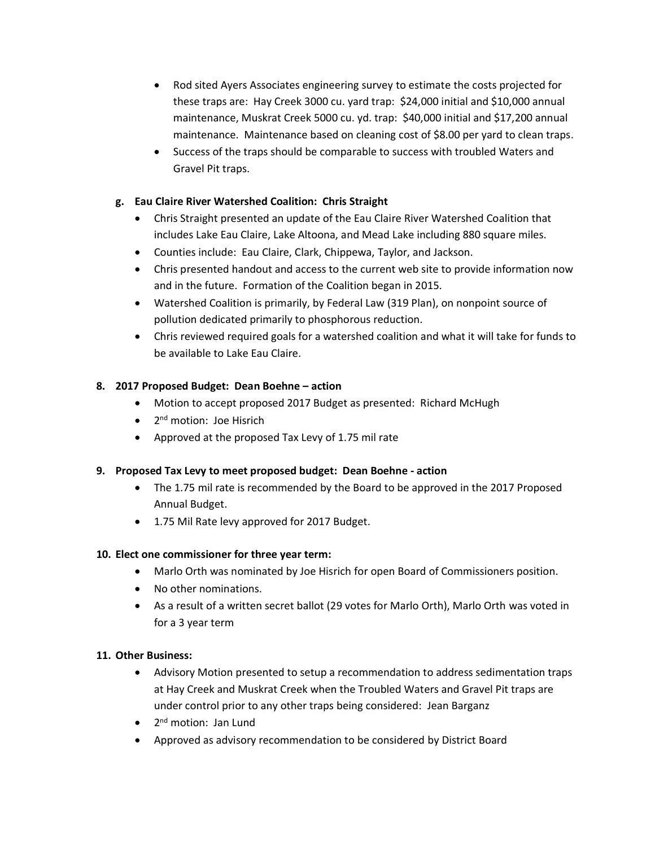- Rod sited Ayers Associates engineering survey to estimate the costs projected for these traps are: Hay Creek 3000 cu. yard trap: \$24,000 initial and \$10,000 annual maintenance, Muskrat Creek 5000 cu. yd. trap: \$40,000 initial and \$17,200 annual maintenance. Maintenance based on cleaning cost of \$8.00 per yard to clean traps.
- Success of the traps should be comparable to success with troubled Waters and Gravel Pit traps.

## **g. Eau Claire River Watershed Coalition: Chris Straight**

- Chris Straight presented an update of the Eau Claire River Watershed Coalition that includes Lake Eau Claire, Lake Altoona, and Mead Lake including 880 square miles.
- Counties include: Eau Claire, Clark, Chippewa, Taylor, and Jackson.
- Chris presented handout and access to the current web site to provide information now and in the future. Formation of the Coalition began in 2015.
- Watershed Coalition is primarily, by Federal Law (319 Plan), on nonpoint source of pollution dedicated primarily to phosphorous reduction.
- Chris reviewed required goals for a watershed coalition and what it will take for funds to be available to Lake Eau Claire.

## **8. 2017 Proposed Budget: Dean Boehne – action**

- Motion to accept proposed 2017 Budget as presented: Richard McHugh
- 2<sup>nd</sup> motion: Joe Hisrich
- Approved at the proposed Tax Levy of 1.75 mil rate

## **9. Proposed Tax Levy to meet proposed budget: Dean Boehne - action**

- The 1.75 mil rate is recommended by the Board to be approved in the 2017 Proposed Annual Budget.
- 1.75 Mil Rate levy approved for 2017 Budget.

## **10. Elect one commissioner for three year term:**

- Marlo Orth was nominated by Joe Hisrich for open Board of Commissioners position.
- No other nominations.
- As a result of a written secret ballot (29 votes for Marlo Orth), Marlo Orth was voted in for a 3 year term

## **11. Other Business:**

- Advisory Motion presented to setup a recommendation to address sedimentation traps at Hay Creek and Muskrat Creek when the Troubled Waters and Gravel Pit traps are under control prior to any other traps being considered: Jean Barganz
- 2<sup>nd</sup> motion: Jan Lund
- Approved as advisory recommendation to be considered by District Board